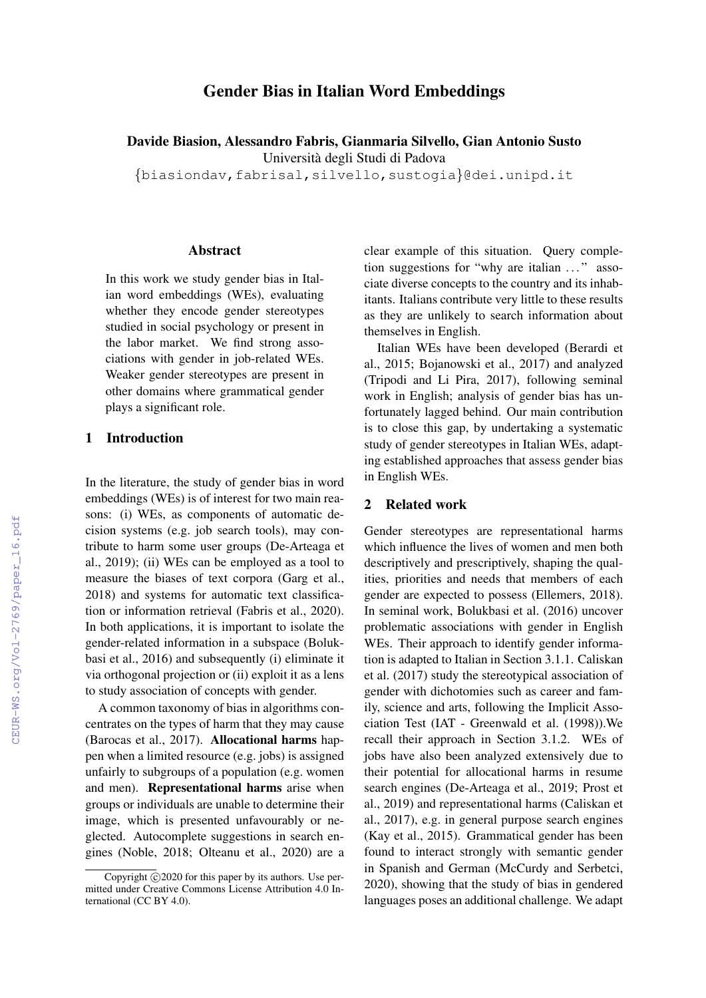# Gender Bias in Italian Word Embeddings

Davide Biasion, Alessandro Fabris, Gianmaria Silvello, Gian Antonio Susto Universita degli Studi di Padova `

{biasiondav,fabrisal,silvello,sustogia}@dei.unipd.it

#### Abstract

In this work we study gender bias in Italian word embeddings (WEs), evaluating whether they encode gender stereotypes studied in social psychology or present in the labor market. We find strong associations with gender in job-related WEs. Weaker gender stereotypes are present in other domains where grammatical gender plays a significant role.

# 1 Introduction

In the literature, the study of gender bias in word embeddings (WEs) is of interest for two main reasons: (i) WEs, as components of automatic decision systems (e.g. job search tools), may contribute to harm some user groups (De-Arteaga et al., 2019); (ii) WEs can be employed as a tool to measure the biases of text corpora (Garg et al., 2018) and systems for automatic text classification or information retrieval (Fabris et al., 2020). In both applications, it is important to isolate the gender-related information in a subspace (Bolukbasi et al., 2016) and subsequently (i) eliminate it via orthogonal projection or (ii) exploit it as a lens to study association of concepts with gender.

A common taxonomy of bias in algorithms concentrates on the types of harm that they may cause (Barocas et al., 2017). Allocational harms happen when a limited resource (e.g. jobs) is assigned unfairly to subgroups of a population (e.g. women and men). Representational harms arise when groups or individuals are unable to determine their image, which is presented unfavourably or neglected. Autocomplete suggestions in search engines (Noble, 2018; Olteanu et al., 2020) are a clear example of this situation. Query completion suggestions for "why are italian ..." associate diverse concepts to the country and its inhabitants. Italians contribute very little to these results as they are unlikely to search information about themselves in English.

Italian WEs have been developed (Berardi et al., 2015; Bojanowski et al., 2017) and analyzed (Tripodi and Li Pira, 2017), following seminal work in English; analysis of gender bias has unfortunately lagged behind. Our main contribution is to close this gap, by undertaking a systematic study of gender stereotypes in Italian WEs, adapting established approaches that assess gender bias in English WEs.

### 2 Related work

Gender stereotypes are representational harms which influence the lives of women and men both descriptively and prescriptively, shaping the qualities, priorities and needs that members of each gender are expected to possess (Ellemers, 2018). In seminal work, Bolukbasi et al. (2016) uncover problematic associations with gender in English WEs. Their approach to identify gender information is adapted to Italian in Section 3.1.1. Caliskan et al. (2017) study the stereotypical association of gender with dichotomies such as career and family, science and arts, following the Implicit Association Test (IAT - Greenwald et al. (1998)).We recall their approach in Section 3.1.2. WEs of jobs have also been analyzed extensively due to their potential for allocational harms in resume search engines (De-Arteaga et al., 2019; Prost et al., 2019) and representational harms (Caliskan et al., 2017), e.g. in general purpose search engines (Kay et al., 2015). Grammatical gender has been found to interact strongly with semantic gender in Spanish and German (McCurdy and Serbetci, 2020), showing that the study of bias in gendered languages poses an additional challenge. We adapt

Copyright  $\odot$ 2020 for this paper by its authors. Use permitted under Creative Commons License Attribution 4.0 International (CC BY 4.0).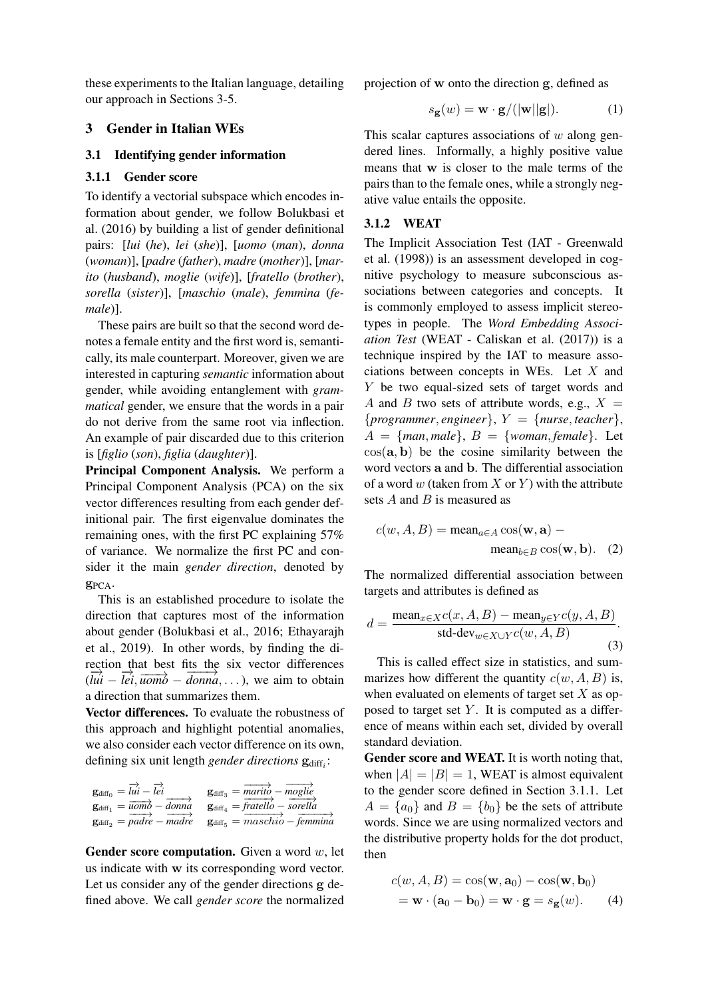these experiments to the Italian language, detailing our approach in Sections 3-5.

## 3 Gender in Italian WEs

#### 3.1 Identifying gender information

### 3.1.1 Gender score

To identify a vectorial subspace which encodes information about gender, we follow Bolukbasi et al. (2016) by building a list of gender definitional pairs: [*lui* (*he*), *lei* (*she*)], [*uomo* (*man*), *donna* (*woman*)], [*padre* (*father*), *madre* (*mother*)], [*marito* (*husband*), *moglie* (*wife*)], [*fratello* (*brother*), *sorella* (*sister*)], [*maschio* (*male*), *femmina* (*female*)].

These pairs are built so that the second word denotes a female entity and the first word is, semantically, its male counterpart. Moreover, given we are interested in capturing *semantic* information about gender, while avoiding entanglement with *grammatical* gender, we ensure that the words in a pair do not derive from the same root via inflection. An example of pair discarded due to this criterion is [*figlio* (*son*), *figlia* (*daughter*)].

Principal Component Analysis. We perform a Principal Component Analysis (PCA) on the six vector differences resulting from each gender definitional pair. The first eigenvalue dominates the remaining ones, with the first PC explaining 57% of variance. We normalize the first PC and consider it the main *gender direction*, denoted by gPCA.

This is an established procedure to isolate the direction that captures most of the information about gender (Bolukbasi et al., 2016; Ethayarajh et al., 2019). In other words, by finding the direction that best fits the six vector differences  $\frac{\partial u}{\partial u} - \frac{\partial u}{\partial u} = \frac{\partial u}{\partial u} - \frac{\partial u}{\partial u}$ , ..., we aim to obtain a direction that summarizes them.

Vector differences. To evaluate the robustness of this approach and highlight potential anomalies, we also consider each vector difference on its own, defining six unit length gender directions  $g_{diff_i}$ :

| $\mathbf{g}_{\text{diff}_0} = l\vec{ui} - l\vec{ei}$                | $\mathbf{g}_{\text{diff}_3} = \text{marit}'_0 - \text{mogli}'_e$                           |
|---------------------------------------------------------------------|--------------------------------------------------------------------------------------------|
| $\mathbf{g}_{\text{diff}_1} = \overrightarrow{uomb} - \text{donna}$ | $\mathbf{g}_{\text{diff}_{4}} = \text{fratello} - \text{sorella}$                          |
| $\mathbf{g}_{\text{diff}_2} =$ padre – madre                        | $\mathbf{g}_{\text{diff}_{5}} = \overline{maschi'_{0}} - \overline{f}_{\text{emmin}'_{4}}$ |

**Gender score computation.** Given a word  $w$ , let us indicate with w its corresponding word vector. Let us consider any of the gender directions g defined above. We call *gender score* the normalized projection of w onto the direction g, defined as

$$
s_{\mathbf{g}}(w) = \mathbf{w} \cdot \mathbf{g} / (|\mathbf{w}||\mathbf{g}|). \tag{1}
$$

This scalar captures associations of  $w$  along gendered lines. Informally, a highly positive value means that w is closer to the male terms of the pairs than to the female ones, while a strongly negative value entails the opposite.

### 3.1.2 WEAT

The Implicit Association Test (IAT - Greenwald et al. (1998)) is an assessment developed in cognitive psychology to measure subconscious associations between categories and concepts. It is commonly employed to assess implicit stereotypes in people. The *Word Embedding Association Test* (WEAT - Caliskan et al. (2017)) is a technique inspired by the IAT to measure associations between concepts in WEs. Let X and Y be two equal-sized sets of target words and A and B two sets of attribute words, e.g.,  $X =$  ${programmer, engineer}, Y = {nurse, teacher},$  $A = \{man, male\}, B = \{woman, female\}.$  Let  $\cos(\mathbf{a}, \mathbf{b})$  be the cosine similarity between the word vectors a and b. The differential association of a word  $w$  (taken from  $X$  or  $Y$ ) with the attribute sets  $A$  and  $B$  is measured as

$$
c(w, A, B) = \text{mean}_{a \in A} \cos(\mathbf{w}, \mathbf{a}) - \text{mean}_{b \in B} \cos(\mathbf{w}, \mathbf{b}). \quad (2)
$$

The normalized differential association between targets and attributes is defined as

$$
d = \frac{\text{mean}_{x \in X} c(x, A, B) - \text{mean}_{y \in Y} c(y, A, B)}{\text{std-dev}_{w \in X \cup Y} c(w, A, B)}.
$$
\n(3)

This is called effect size in statistics, and summarizes how different the quantity  $c(w, A, B)$  is, when evaluated on elements of target set  $X$  as opposed to target set  $Y$ . It is computed as a difference of means within each set, divided by overall standard deviation.

Gender score and WEAT. It is worth noting that, when  $|A| = |B| = 1$ , WEAT is almost equivalent to the gender score defined in Section 3.1.1. Let  $A = \{a_0\}$  and  $B = \{b_0\}$  be the sets of attribute words. Since we are using normalized vectors and the distributive property holds for the dot product, then

$$
c(w, A, B) = \cos(\mathbf{w}, \mathbf{a}_0) - \cos(\mathbf{w}, \mathbf{b}_0)
$$
  
=  $\mathbf{w} \cdot (\mathbf{a}_0 - \mathbf{b}_0) = \mathbf{w} \cdot \mathbf{g} = s_{\mathbf{g}}(w).$  (4)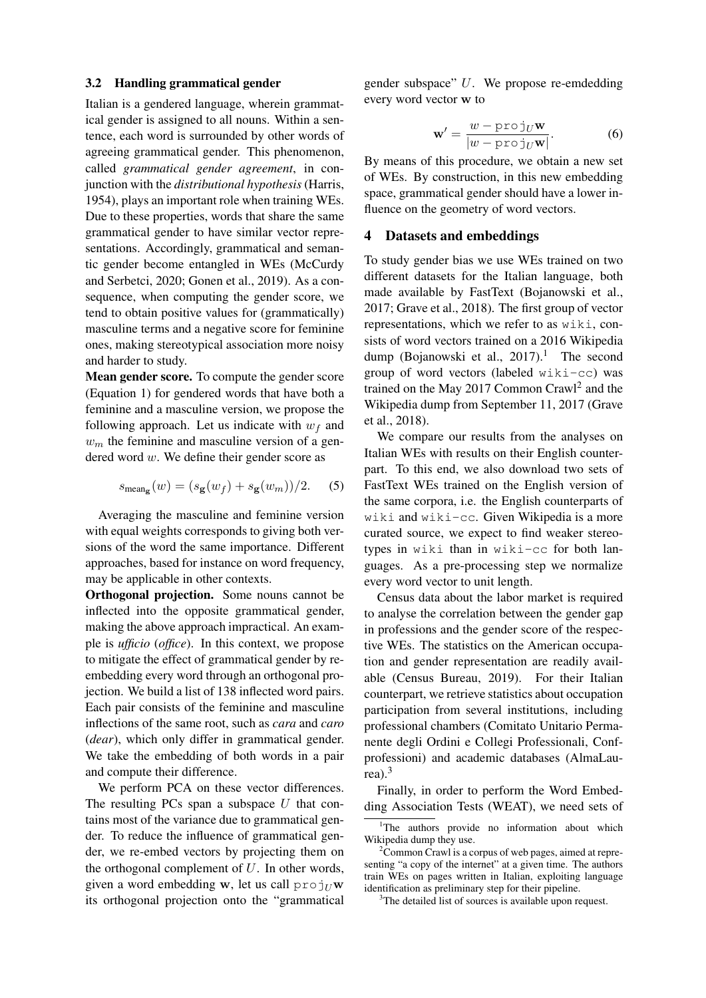#### 3.2 Handling grammatical gender

Italian is a gendered language, wherein grammatical gender is assigned to all nouns. Within a sentence, each word is surrounded by other words of agreeing grammatical gender. This phenomenon, called *grammatical gender agreement*, in conjunction with the *distributional hypothesis* (Harris, 1954), plays an important role when training WEs. Due to these properties, words that share the same grammatical gender to have similar vector representations. Accordingly, grammatical and semantic gender become entangled in WEs (McCurdy and Serbetci, 2020; Gonen et al., 2019). As a consequence, when computing the gender score, we tend to obtain positive values for (grammatically) masculine terms and a negative score for feminine ones, making stereotypical association more noisy and harder to study.

Mean gender score. To compute the gender score (Equation 1) for gendered words that have both a feminine and a masculine version, we propose the following approach. Let us indicate with  $w_f$  and  $w<sub>m</sub>$  the feminine and masculine version of a gendered word w. We define their gender score as

$$
s_{\text{mean}_{\mathbf{g}}}(w) = (s_{\mathbf{g}}(w_f) + s_{\mathbf{g}}(w_m))/2. \quad (5)
$$

Averaging the masculine and feminine version with equal weights corresponds to giving both versions of the word the same importance. Different approaches, based for instance on word frequency, may be applicable in other contexts.

Orthogonal projection. Some nouns cannot be inflected into the opposite grammatical gender, making the above approach impractical. An example is *ufficio* (*office*). In this context, we propose to mitigate the effect of grammatical gender by reembedding every word through an orthogonal projection. We build a list of 138 inflected word pairs. Each pair consists of the feminine and masculine inflections of the same root, such as *cara* and *caro* (*dear*), which only differ in grammatical gender. We take the embedding of both words in a pair and compute their difference.

We perform PCA on these vector differences. The resulting PCs span a subspace  $U$  that contains most of the variance due to grammatical gender. To reduce the influence of grammatical gender, we re-embed vectors by projecting them on the orthogonal complement of  $U$ . In other words, given a word embedding w, let us call  $proj_U$ w its orthogonal projection onto the "grammatical

gender subspace" U. We propose re-emdedding every word vector w to

$$
\mathbf{w}' = \frac{w - \text{proj}_U \mathbf{w}}{|w - \text{proj}_U \mathbf{w}|}.
$$
 (6)

By means of this procedure, we obtain a new set of WEs. By construction, in this new embedding space, grammatical gender should have a lower influence on the geometry of word vectors.

#### 4 Datasets and embeddings

To study gender bias we use WEs trained on two different datasets for the Italian language, both made available by FastText (Bojanowski et al., 2017; Grave et al., 2018). The first group of vector representations, which we refer to as wiki, consists of word vectors trained on a 2016 Wikipedia dump (Bojanowski et al.,  $2017$ ).<sup>1</sup> The second group of word vectors (labeled wiki-cc) was trained on the May 2017 Common Crawl<sup>2</sup> and the Wikipedia dump from September 11, 2017 (Grave et al., 2018).

We compare our results from the analyses on Italian WEs with results on their English counterpart. To this end, we also download two sets of FastText WEs trained on the English version of the same corpora, i.e. the English counterparts of wiki and wiki-cc. Given Wikipedia is a more curated source, we expect to find weaker stereotypes in wiki than in wiki-cc for both languages. As a pre-processing step we normalize every word vector to unit length.

Census data about the labor market is required to analyse the correlation between the gender gap in professions and the gender score of the respective WEs. The statistics on the American occupation and gender representation are readily available (Census Bureau, 2019). For their Italian counterpart, we retrieve statistics about occupation participation from several institutions, including professional chambers (Comitato Unitario Permanente degli Ordini e Collegi Professionali, Confprofessioni) and academic databases (AlmaLaurea). $3$ 

Finally, in order to perform the Word Embedding Association Tests (WEAT), we need sets of

<sup>&</sup>lt;sup>1</sup>The authors provide no information about which Wikipedia dump they use.

 $2\overline{C}$ ommon Crawl is a corpus of web pages, aimed at representing "a copy of the internet" at a given time. The authors train WEs on pages written in Italian, exploiting language identification as preliminary step for their pipeline.

<sup>&</sup>lt;sup>3</sup>The detailed list of sources is available upon request.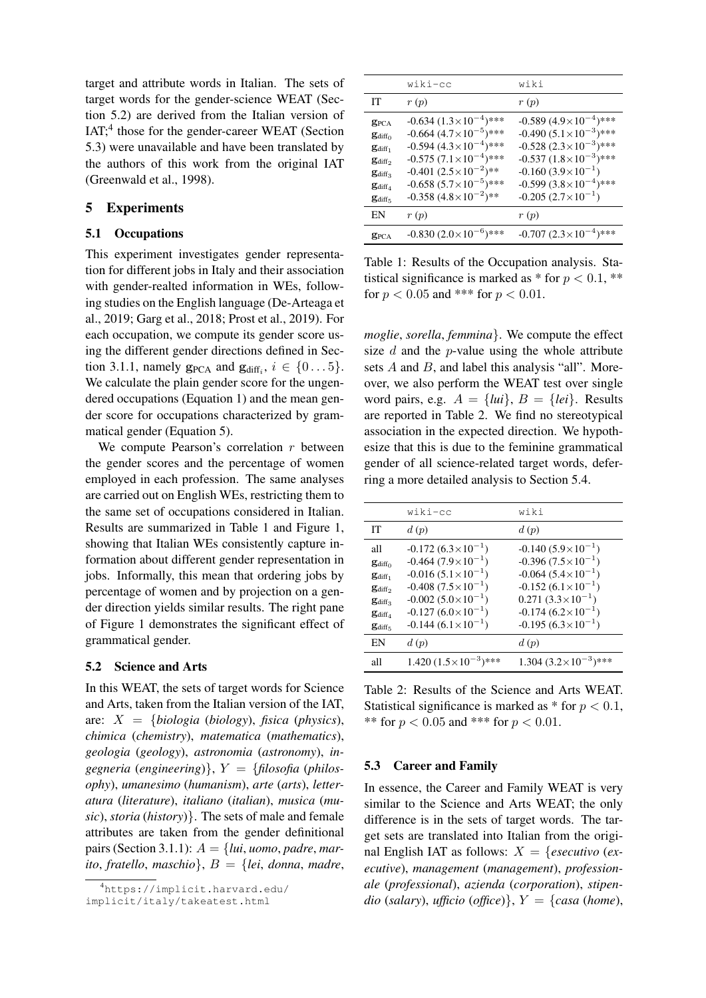target and attribute words in Italian. The sets of target words for the gender-science WEAT (Section 5.2) are derived from the Italian version of IAT;<sup>4</sup> those for the gender-career WEAT (Section 5.3) were unavailable and have been translated by the authors of this work from the original IAT (Greenwald et al., 1998).

## 5 Experiments

# 5.1 Occupations

This experiment investigates gender representation for different jobs in Italy and their association with gender-realted information in WEs, following studies on the English language (De-Arteaga et al., 2019; Garg et al., 2018; Prost et al., 2019). For each occupation, we compute its gender score using the different gender directions defined in Section 3.1.1, namely  $\mathbf{g}_{\text{PCA}}$  and  $\mathbf{g}_{\text{diff}_i}$ ,  $i \in \{0 \dots 5\}$ . We calculate the plain gender score for the ungendered occupations (Equation 1) and the mean gender score for occupations characterized by grammatical gender (Equation 5).

We compute Pearson's correlation  $r$  between the gender scores and the percentage of women employed in each profession. The same analyses are carried out on English WEs, restricting them to the same set of occupations considered in Italian. Results are summarized in Table 1 and Figure 1, showing that Italian WEs consistently capture information about different gender representation in jobs. Informally, this mean that ordering jobs by percentage of women and by projection on a gender direction yields similar results. The right pane of Figure 1 demonstrates the significant effect of grammatical gender.

### 5.2 Science and Arts

In this WEAT, the sets of target words for Science and Arts, taken from the Italian version of the IAT, are: X = {*biologia* (*biology*), *fisica* (*physics*), *chimica* (*chemistry*), *matematica* (*mathematics*), *geologia* (*geology*), *astronomia* (*astronomy*), *ingegneria* (*engineering*)}, Y = {*filosofia* (*philosophy*), *umanesimo* (*humanism*), *arte* (*arts*), *letteratura* (*literature*), *italiano* (*italian*), *musica* (*music*), *storia* (*history*)}. The sets of male and female attributes are taken from the gender definitional pairs (Section 3.1.1):  $A = \{lui, \textit{uomo}, \textit{padre}, \textit{mar-}\}\$ *ito*, *fratello*, *maschio*}, B = {*lei*, *donna*, *madre*,

|                                                                                                                                                                                             | wiki-cc                                                                                                                                                                                                                                                           | wiki                                                                                                                                                                                                                                          |
|---------------------------------------------------------------------------------------------------------------------------------------------------------------------------------------------|-------------------------------------------------------------------------------------------------------------------------------------------------------------------------------------------------------------------------------------------------------------------|-----------------------------------------------------------------------------------------------------------------------------------------------------------------------------------------------------------------------------------------------|
| IТ                                                                                                                                                                                          | r(p)                                                                                                                                                                                                                                                              | r(p)                                                                                                                                                                                                                                          |
| <b>g</b> <sub>PCA</sub><br>$\mathbf{g}_{\text{diff}_{0}}$<br>$\mathbf{g}_{\text{diff}_1}$<br>$g_{diff_2}$<br>$\mathbf{g}_{\text{diff}_3}$<br>$\mathbf{g}_{\text{diff}_{A}}$<br>$g_{diff,5}$ | $-0.634$ $(1.3 \times 10^{-4})$ ***<br>$-0.664$ $(4.7\times10^{-5})$ ***<br>$-0.594$ $(4.3 \times 10^{-4})$ ***<br>$-0.575 (7.1 \times 10^{-4})$ ***<br>$-0.401 (2.5 \times 10^{-2})$ **<br>$-0.658 (5.7 \times 10^{-5})$ ***<br>$-0.358 (4.8 \times 10^{-2})$ ** | $-0.589(4.9\times10^{-4})$ ***<br>$-0.490 (5.1 \times 10^{-3})$ ***<br>$-0.528$ $(2.3 \times 10^{-3})$ ***<br>$-0.537 (1.8 \times 10^{-3})$ ***<br>$-0.160(3.9\times10^{-1})$<br>$-0.599(3.8\times10^{-4})$ ***<br>$-0.205(2.7\times10^{-1})$ |
| EN                                                                                                                                                                                          | r(p)                                                                                                                                                                                                                                                              | r(p)                                                                                                                                                                                                                                          |
| $g_{PCA}$                                                                                                                                                                                   | $-0.830(2.0\times10^{-6})$ ***                                                                                                                                                                                                                                    | $-0.707$ $(2.3 \times 10^{-4})$ ***                                                                                                                                                                                                           |

Table 1: Results of the Occupation analysis. Statistical significance is marked as  $*$  for  $p < 0.1$ ,  $**$ for  $p < 0.05$  and \*\*\* for  $p < 0.01$ .

*moglie*, *sorella*, *femmina*}. We compute the effect size  $d$  and the p-value using the whole attribute sets  $A$  and  $B$ , and label this analysis "all". Moreover, we also perform the WEAT test over single word pairs, e.g.  $A = \{lui\}$ ,  $B = \{lei\}$ . Results are reported in Table 2. We find no stereotypical association in the expected direction. We hypothesize that this is due to the feminine grammatical gender of all science-related target words, deferring a more detailed analysis to Section 5.4.

|                                                                | wiki-cc                                                       | wiki                                                          |
|----------------------------------------------------------------|---------------------------------------------------------------|---------------------------------------------------------------|
| IТ                                                             | d(p)                                                          | d(p)                                                          |
| all                                                            | $-0.172(6.3\times10^{-1})$                                    | $-0.140(5.9\times10^{-1})$                                    |
| $\mathbf{g}_{\text{diff}_{0}}$<br>$\mathbf{g}_{\text{diff}_1}$ | $-0.464(7.9\times10^{-1})$<br>$-0.016$ $(5.1 \times 10^{-1})$ | $-0.396(7.5\times10^{-1})$<br>$-0.064$ $(5.4 \times 10^{-1})$ |
| $\mathbf{g}_{\text{diff}_{2}}$                                 | $-0.408(7.5\times10^{-1})$<br>$-0.002(5.0\times10^{-1})$      | $-0.152(6.1\times10^{-1})$<br>$0.271(3.3\times10^{-1})$       |
| $\mathbf{g}_{\text{diff}_3}$<br>$\mathbf{g}_{\text{diff}_{A}}$ | $-0.127(6.0\times10^{-1})$                                    | $-0.174(6.2\times10^{-1})$                                    |
| $\mathbf{g}_{\text{diff}_{5}}$                                 | $-0.144(6.1\times10^{-1})$                                    | $-0.195(6.3\times10^{-1})$                                    |
| EN                                                             | d(p)                                                          | d(p)                                                          |
| all                                                            | $1.420(1.5\times10^{-3})$ ***                                 | $1.304$ $(3.2 \times 10^{-3})$ ***                            |

Table 2: Results of the Science and Arts WEAT. Statistical significance is marked as  $*$  for  $p < 0.1$ , \*\* for  $p < 0.05$  and \*\*\* for  $p < 0.01$ .

#### 5.3 Career and Family

In essence, the Career and Family WEAT is very similar to the Science and Arts WEAT; the only difference is in the sets of target words. The target sets are translated into Italian from the original English IAT as follows:  $X = \{ \text{esecutivo} \}$ *ecutive*), *management* (*management*), *professionale* (*professional*), *azienda* (*corporation*), *stipendio* (*salary*), *ufficio* (*office*) $\}$ ,  $Y = \{casa \ (home),$ 

<sup>4</sup>https://implicit.harvard.edu/ implicit/italy/takeatest.html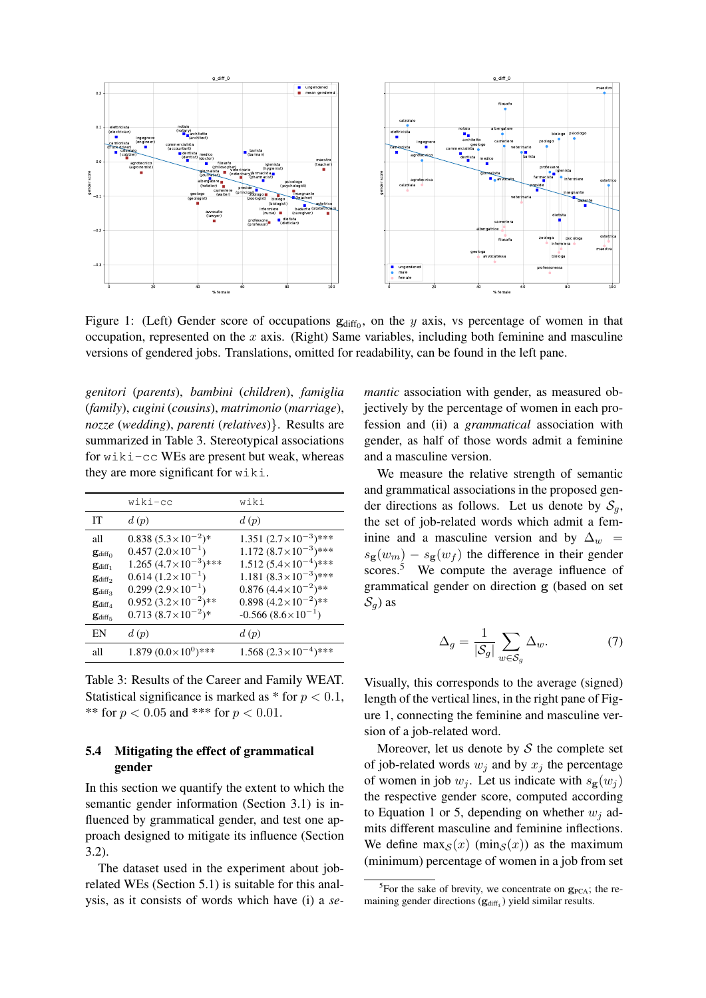

Figure 1: (Left) Gender score of occupations  $\mathbf{g}_{diff_0}$ , on the y axis, vs percentage of women in that occupation, represented on the  $x$  axis. (Right) Same variables, including both feminine and masculine versions of gendered jobs. Translations, omitted for readability, can be found in the left pane.

*genitori* (*parents*), *bambini* (*children*), *famiglia* (*family*), *cugini* (*cousins*), *matrimonio* (*marriage*), *nozze* (*wedding*), *parenti* (*relatives*)}. Results are summarized in Table 3. Stereotypical associations for wiki-cc WEs are present but weak, whereas they are more significant for wiki.

|                                                                                                                                       | wiki-cc                                                                                                                                                                                                                     | wiki                                                                                                                                                                                                                                             |
|---------------------------------------------------------------------------------------------------------------------------------------|-----------------------------------------------------------------------------------------------------------------------------------------------------------------------------------------------------------------------------|--------------------------------------------------------------------------------------------------------------------------------------------------------------------------------------------------------------------------------------------------|
| IТ                                                                                                                                    | d(p)                                                                                                                                                                                                                        | d(p)                                                                                                                                                                                                                                             |
| all<br>$g_{diff_0}$<br>$\mathbf{g}_{\text{diff}_1}$<br>$g_{diff_2}$<br>$\mathbf{g}_{\text{diff}_3}$<br>$\mathbf{g}_{\text{diff}_{4}}$ | $0.838(5.3\times10^{-2})$ *<br>$0.457 (2.0 \times 10^{-1})$<br>$1.265 (4.7 \times 10^{-3})$ ***<br>$0.614 (1.2 \times 10^{-1})$<br>$0.299(2.9\times10^{-1})$<br>$0.952(3.2\times10^{-2})$ **<br>$0.713(8.7\times10^{-2})$ * | $1.351 (2.7 \times 10^{-3})$ ***<br>$1.172 (8.7 \times 10^{-3})$ ***<br>$1.512 (5.4 \times 10^{-4})$ ***<br>1.181 $(8.3 \times 10^{-3})$ ***<br>$0.876 (4.4 \times 10^{-2})$ **<br>0.898 $(4.2 \times 10^{-2})$ **<br>$-0.566(8.6\times10^{-1})$ |
| $g_{diff5}$                                                                                                                           |                                                                                                                                                                                                                             |                                                                                                                                                                                                                                                  |
| EN                                                                                                                                    | d(p)                                                                                                                                                                                                                        | d(p)                                                                                                                                                                                                                                             |
| all                                                                                                                                   | $1.879~(0.0\times10^{0})$ ***                                                                                                                                                                                               | $1.568 (2.3 \times 10^{-4})$ ***                                                                                                                                                                                                                 |

Table 3: Results of the Career and Family WEAT. Statistical significance is marked as  $*$  for  $p < 0.1$ , \*\* for  $p < 0.05$  and \*\*\* for  $p < 0.01$ .

### 5.4 Mitigating the effect of grammatical gender

In this section we quantify the extent to which the semantic gender information (Section 3.1) is influenced by grammatical gender, and test one approach designed to mitigate its influence (Section 3.2).

The dataset used in the experiment about jobrelated WEs (Section 5.1) is suitable for this analysis, as it consists of words which have (i) a *se-*

*mantic* association with gender, as measured objectively by the percentage of women in each profession and (ii) a *grammatical* association with gender, as half of those words admit a feminine and a masculine version.

We measure the relative strength of semantic and grammatical associations in the proposed gender directions as follows. Let us denote by  $S_q$ , the set of job-related words which admit a feminine and a masculine version and by  $\Delta_w$  =  $s_{\mathbf{g}}(w_m) - s_{\mathbf{g}}(w_f)$  the difference in their gender scores.<sup>5</sup> We compute the average influence of grammatical gender on direction g (based on set  $\mathcal{S}_q$ ) as

$$
\Delta_g = \frac{1}{|\mathcal{S}_g|} \sum_{w \in \mathcal{S}_g} \Delta_w.
$$
 (7)

Visually, this corresponds to the average (signed) length of the vertical lines, in the right pane of Figure 1, connecting the feminine and masculine version of a job-related word.

Moreover, let us denote by  $S$  the complete set of job-related words  $w_i$  and by  $x_i$  the percentage of women in job  $w_j$ . Let us indicate with  $s_{\mathbf{g}}(w_j)$ the respective gender score, computed according to Equation 1 or 5, depending on whether  $w_i$  admits different masculine and feminine inflections. We define  $\max_{S}(x)$  (min<sub>S</sub>(x)) as the maximum (minimum) percentage of women in a job from set

<sup>&</sup>lt;sup>5</sup>For the sake of brevity, we concentrate on  $g_{PCA}$ ; the remaining gender directions  $(g_{diff_i})$  yield similar results.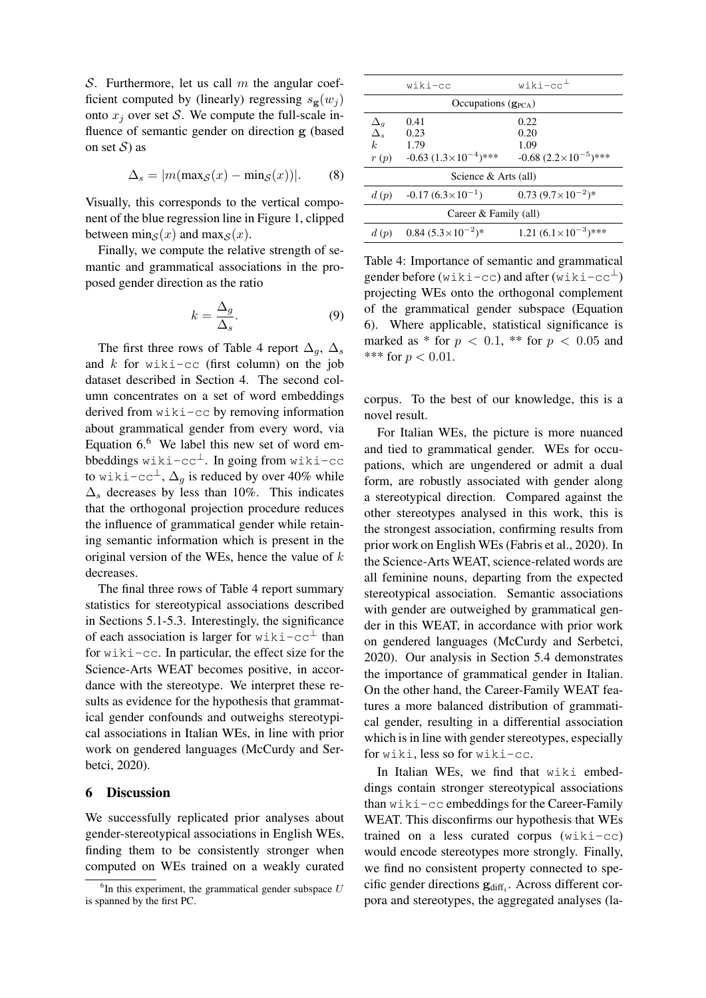S. Furthermore, let us call  $m$  the angular coefficient computed by (linearly) regressing  $s_{\mathbf{g}}(w_i)$ onto  $x_i$  over set S. We compute the full-scale influence of semantic gender on direction g (based on set  $S$ ) as

$$
\Delta_s = |m(\max_{\mathcal{S}}(x) - \min_{\mathcal{S}}(x))|.
$$
 (8)

Visually, this corresponds to the vertical component of the blue regression line in Figure 1, clipped between min<sub>S</sub> $(x)$  and max<sub>S</sub> $(x)$ .

Finally, we compute the relative strength of semantic and grammatical associations in the proposed gender direction as the ratio

$$
k = \frac{\Delta_g}{\Delta_s}.\tag{9}
$$

The first three rows of Table 4 report  $\Delta_q$ ,  $\Delta_s$ and  $k$  for wiki-cc (first column) on the job dataset described in Section 4. The second column concentrates on a set of word embeddings derived from wiki-cc by removing information about grammatical gender from every word, via Equation  $6.6$  We label this new set of word embbeddings wiki-cc<sup>⊥</sup>. In going from wiki-cc to wiki-cc<sup>⊥</sup>,  $\Delta_q$  is reduced by over 40% while  $\Delta_s$  decreases by less than 10%. This indicates that the orthogonal projection procedure reduces the influence of grammatical gender while retaining semantic information which is present in the original version of the WEs, hence the value of  $k$ decreases.

The final three rows of Table 4 report summary statistics for stereotypical associations described in Sections 5.1-5.3. Interestingly, the significance of each association is larger for wiki-cc<sup>⊥</sup> than for wiki-cc. In particular, the effect size for the Science-Arts WEAT becomes positive, in accordance with the stereotype. We interpret these results as evidence for the hypothesis that grammatical gender confounds and outweighs stereotypical associations in Italian WEs, in line with prior work on gendered languages (McCurdy and Serbetci, 2020).

#### 6 Discussion

We successfully replicated prior analyses about gender-stereotypical associations in English WEs, finding them to be consistently stronger when computed on WEs trained on a weakly curated

|                                                  | wiki-cc                                                    | $with i - cc^{\perp}$                                      |  |
|--------------------------------------------------|------------------------------------------------------------|------------------------------------------------------------|--|
| Occupations $(g_{PCA})$                          |                                                            |                                                            |  |
| $\Delta_g$<br>$\Delta_s$<br>$\mathbf{k}$<br>r(p) | 0.41<br>0.23<br>1.79<br>$-0.63$ $(1.3 \times 10^{-4})$ *** | 0.22<br>0.20<br>1.09<br>$-0.68$ $(2.2 \times 10^{-5})$ *** |  |
| Science & Arts (all)                             |                                                            |                                                            |  |
| d(p)                                             | $-0.17(6.3\times10^{-1})$                                  | $0.73 (9.7 \times 10^{-2})$ *                              |  |
| Career & Family (all)                            |                                                            |                                                            |  |
| d(p)                                             | $0.84~(5.3\times10^{-2})*$                                 | 1.21 $(6.1 \times 10^{-3})$ ***                            |  |

Table 4: Importance of semantic and grammatical gender before (wiki-cc) and after (wiki-cc $^{\perp}$ ) projecting WEs onto the orthogonal complement of the grammatical gender subspace (Equation 6). Where applicable, statistical significance is marked as  $*$  for  $p < 0.1$ ,  $**$  for  $p < 0.05$  and \*\*\* for  $p < 0.01$ .

corpus. To the best of our knowledge, this is a novel result.

For Italian WEs, the picture is more nuanced and tied to grammatical gender. WEs for occupations, which are ungendered or admit a dual form, are robustly associated with gender along a stereotypical direction. Compared against the other stereotypes analysed in this work, this is the strongest association, confirming results from prior work on English WEs (Fabris et al., 2020). In the Science-Arts WEAT, science-related words are all feminine nouns, departing from the expected stereotypical association. Semantic associations with gender are outweighed by grammatical gender in this WEAT, in accordance with prior work on gendered languages (McCurdy and Serbetci, 2020). Our analysis in Section 5.4 demonstrates the importance of grammatical gender in Italian. On the other hand, the Career-Family WEAT features a more balanced distribution of grammatical gender, resulting in a differential association which is in line with gender stereotypes, especially for wiki, less so for wiki-cc.

In Italian WEs, we find that wiki embeddings contain stronger stereotypical associations than wiki-cc embeddings for the Career-Family WEAT. This disconfirms our hypothesis that WEs trained on a less curated corpus (wiki-cc) would encode stereotypes more strongly. Finally, we find no consistent property connected to specific gender directions  $\mathbf{g}_{\text{diff}_i}$ . Across different corpora and stereotypes, the aggregated analyses (la-

 ${}^{6}$ In this experiment, the grammatical gender subspace  $U$ is spanned by the first PC.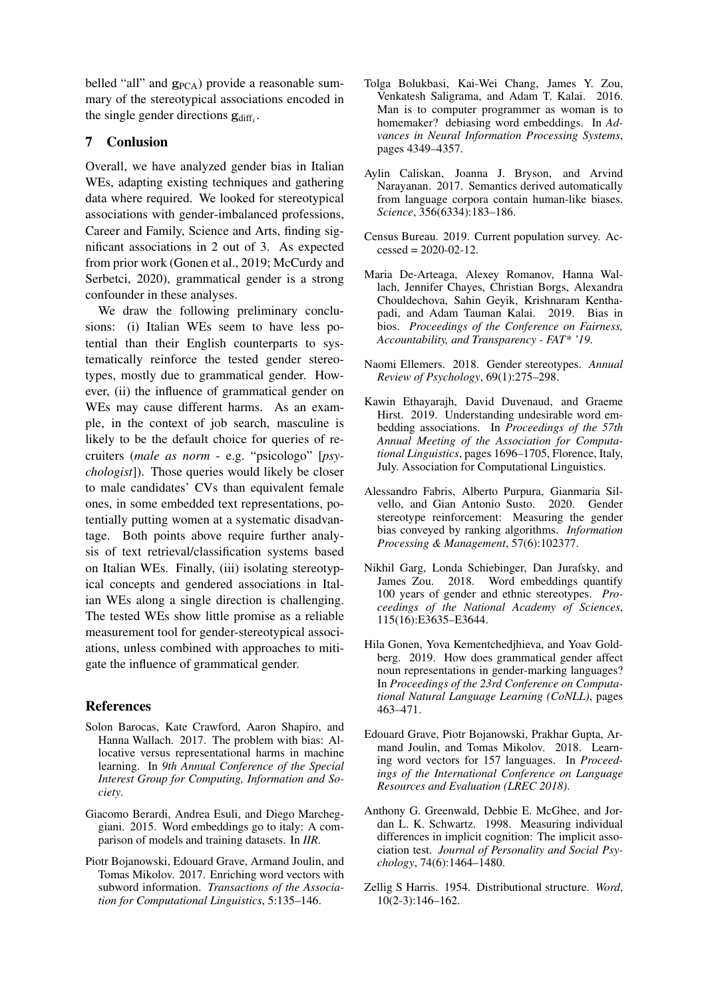belled "all" and  $g_{PCA}$ ) provide a reasonable summary of the stereotypical associations encoded in the single gender directions  $\mathbf{g}_{\text{diff}_i}$ .

# 7 Conlusion

Overall, we have analyzed gender bias in Italian WEs, adapting existing techniques and gathering data where required. We looked for stereotypical associations with gender-imbalanced professions, Career and Family, Science and Arts, finding significant associations in 2 out of 3. As expected from prior work (Gonen et al., 2019; McCurdy and Serbetci, 2020), grammatical gender is a strong confounder in these analyses.

We draw the following preliminary conclusions: (i) Italian WEs seem to have less potential than their English counterparts to systematically reinforce the tested gender stereotypes, mostly due to grammatical gender. However, (ii) the influence of grammatical gender on WEs may cause different harms. As an example, in the context of job search, masculine is likely to be the default choice for queries of recruiters (*male as norm* - e.g. "psicologo" [*psychologist*]). Those queries would likely be closer to male candidates' CVs than equivalent female ones, in some embedded text representations, potentially putting women at a systematic disadvantage. Both points above require further analysis of text retrieval/classification systems based on Italian WEs. Finally, (iii) isolating stereotypical concepts and gendered associations in Italian WEs along a single direction is challenging. The tested WEs show little promise as a reliable measurement tool for gender-stereotypical associations, unless combined with approaches to mitigate the influence of grammatical gender.

# References

- Solon Barocas, Kate Crawford, Aaron Shapiro, and Hanna Wallach. 2017. The problem with bias: Allocative versus representational harms in machine learning. In *9th Annual Conference of the Special Interest Group for Computing, Information and Society*.
- Giacomo Berardi, Andrea Esuli, and Diego Marcheggiani. 2015. Word embeddings go to italy: A comparison of models and training datasets. In *IIR*.
- Piotr Bojanowski, Edouard Grave, Armand Joulin, and Tomas Mikolov. 2017. Enriching word vectors with subword information. *Transactions of the Association for Computational Linguistics*, 5:135–146.
- Tolga Bolukbasi, Kai-Wei Chang, James Y. Zou, Venkatesh Saligrama, and Adam T. Kalai. 2016. Man is to computer programmer as woman is to homemaker? debiasing word embeddings. In *Advances in Neural Information Processing Systems*, pages 4349–4357.
- Aylin Caliskan, Joanna J. Bryson, and Arvind Narayanan. 2017. Semantics derived automatically from language corpora contain human-like biases. *Science*, 356(6334):183–186.
- Census Bureau. 2019. Current population survey. Ac $cessed = 2020-02-12.$
- Maria De-Arteaga, Alexey Romanov, Hanna Wallach, Jennifer Chayes, Christian Borgs, Alexandra Chouldechova, Sahin Geyik, Krishnaram Kenthapadi, and Adam Tauman Kalai. 2019. Bias in bios. *Proceedings of the Conference on Fairness, Accountability, and Transparency - FAT\* '19*.
- Naomi Ellemers. 2018. Gender stereotypes. *Annual Review of Psychology*, 69(1):275–298.
- Kawin Ethayarajh, David Duvenaud, and Graeme Hirst. 2019. Understanding undesirable word embedding associations. In *Proceedings of the 57th Annual Meeting of the Association for Computational Linguistics*, pages 1696–1705, Florence, Italy, July. Association for Computational Linguistics.
- Alessandro Fabris, Alberto Purpura, Gianmaria Silvello, and Gian Antonio Susto. 2020. Gender stereotype reinforcement: Measuring the gender bias conveyed by ranking algorithms. *Information Processing & Management*, 57(6):102377.
- Nikhil Garg, Londa Schiebinger, Dan Jurafsky, and James Zou. 2018. Word embeddings quantify 100 years of gender and ethnic stereotypes. *Proceedings of the National Academy of Sciences*, 115(16):E3635–E3644.
- Hila Gonen, Yova Kementchedjhieva, and Yoav Goldberg. 2019. How does grammatical gender affect noun representations in gender-marking languages? In *Proceedings of the 23rd Conference on Computational Natural Language Learning (CoNLL)*, pages 463–471.
- Edouard Grave, Piotr Bojanowski, Prakhar Gupta, Armand Joulin, and Tomas Mikolov. 2018. Learning word vectors for 157 languages. In *Proceedings of the International Conference on Language Resources and Evaluation (LREC 2018)*.
- Anthony G. Greenwald, Debbie E. McGhee, and Jordan L. K. Schwartz. 1998. Measuring individual differences in implicit cognition: The implicit association test. *Journal of Personality and Social Psychology*, 74(6):1464–1480.
- Zellig S Harris. 1954. Distributional structure. *Word*, 10(2-3):146–162.